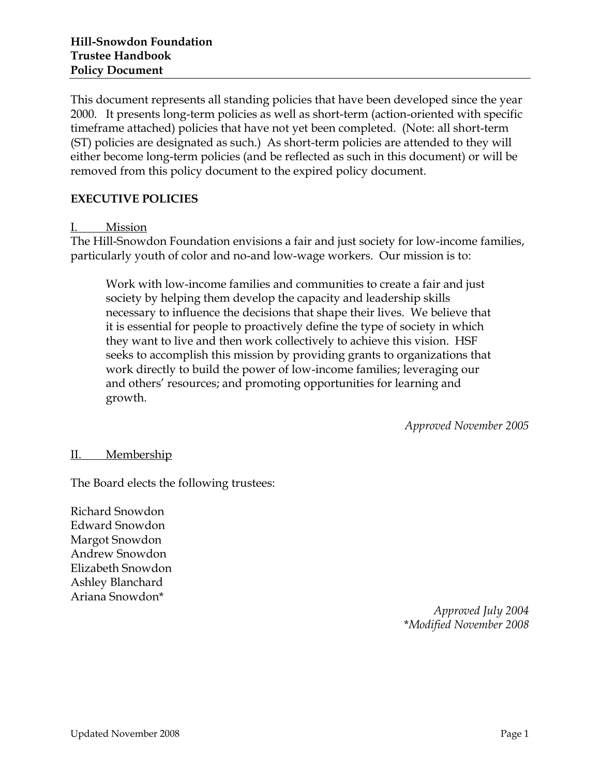This document represents all standing policies that have been developed since the year 2000. It presents long-term policies as well as short-term (action-oriented with specific timeframe attached) policies that have not yet been completed. (Note: all short-term (ST) policies are designated as such.) As short-term policies are attended to they will either become long-term policies (and be reflected as such in this document) or will be removed from this policy document to the expired policy document.

## **EXECUTIVE POLICIES**

### I. Mission

The Hill-Snowdon Foundation envisions a fair and just society for low-income families, particularly youth of color and no-and low-wage workers. Our mission is to:

Work with low-income families and communities to create a fair and just society by helping them develop the capacity and leadership skills necessary to influence the decisions that shape their lives. We believe that it is essential for people to proactively define the type of society in which they want to live and then work collectively to achieve this vision. HSF seeks to accomplish this mission by providing grants to organizations that work directly to build the power of low-income families; leveraging our and others' resources; and promoting opportunities for learning and growth.

*Approved November 2005*

### II. Membership

The Board elects the following trustees:

Richard Snowdon Edward Snowdon Margot Snowdon Andrew Snowdon Elizabeth Snowdon Ashley Blanchard Ariana Snowdon\*

*Approved July 2004* \**Modified November 2008*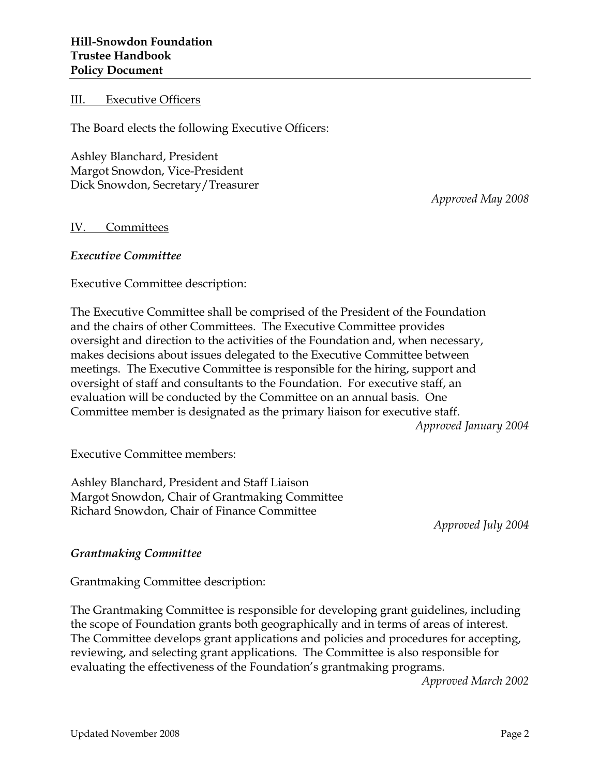III. Executive Officers

The Board elects the following Executive Officers:

Ashley Blanchard, President Margot Snowdon, Vice-President Dick Snowdon, Secretary/Treasurer

*Approved May 2008*

#### IV. Committees

#### *Executive Committee*

Executive Committee description:

The Executive Committee shall be comprised of the President of the Foundation and the chairs of other Committees. The Executive Committee provides oversight and direction to the activities of the Foundation and, when necessary, makes decisions about issues delegated to the Executive Committee between meetings. The Executive Committee is responsible for the hiring, support and oversight of staff and consultants to the Foundation. For executive staff, an evaluation will be conducted by the Committee on an annual basis. One Committee member is designated as the primary liaison for executive staff.

*Approved January 2004*

Executive Committee members:

Ashley Blanchard, President and Staff Liaison Margot Snowdon, Chair of Grantmaking Committee Richard Snowdon, Chair of Finance Committee

*Approved July 2004*

#### *Grantmaking Committee*

Grantmaking Committee description:

The Grantmaking Committee is responsible for developing grant guidelines, including the scope of Foundation grants both geographically and in terms of areas of interest. The Committee develops grant applications and policies and procedures for accepting, reviewing, and selecting grant applications. The Committee is also responsible for evaluating the effectiveness of the Foundation's grantmaking programs*.*

*Approved March 2002*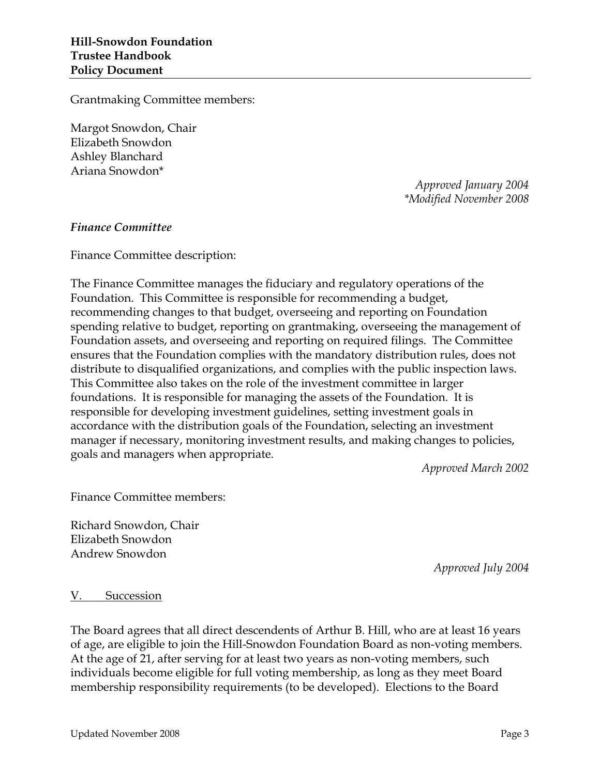Grantmaking Committee members:

Margot Snowdon, Chair Elizabeth Snowdon Ashley Blanchard Ariana Snowdon\*

> *Approved January 2004 \*Modified November 2008*

#### *Finance Committee*

Finance Committee description:

The Finance Committee manages the fiduciary and regulatory operations of the Foundation. This Committee is responsible for recommending a budget, recommending changes to that budget, overseeing and reporting on Foundation spending relative to budget, reporting on grantmaking, overseeing the management of Foundation assets, and overseeing and reporting on required filings. The Committee ensures that the Foundation complies with the mandatory distribution rules, does not distribute to disqualified organizations, and complies with the public inspection laws. This Committee also takes on the role of the investment committee in larger foundations. It is responsible for managing the assets of the Foundation. It is responsible for developing investment guidelines, setting investment goals in accordance with the distribution goals of the Foundation, selecting an investment manager if necessary, monitoring investment results, and making changes to policies, goals and managers when appropriate.

*Approved March 2002*

Finance Committee members:

Richard Snowdon, Chair Elizabeth Snowdon Andrew Snowdon

*Approved July 2004*

#### V. Succession

The Board agrees that all direct descendents of Arthur B. Hill, who are at least 16 years of age, are eligible to join the Hill-Snowdon Foundation Board as non-voting members. At the age of 21, after serving for at least two years as non-voting members, such individuals become eligible for full voting membership, as long as they meet Board membership responsibility requirements (to be developed). Elections to the Board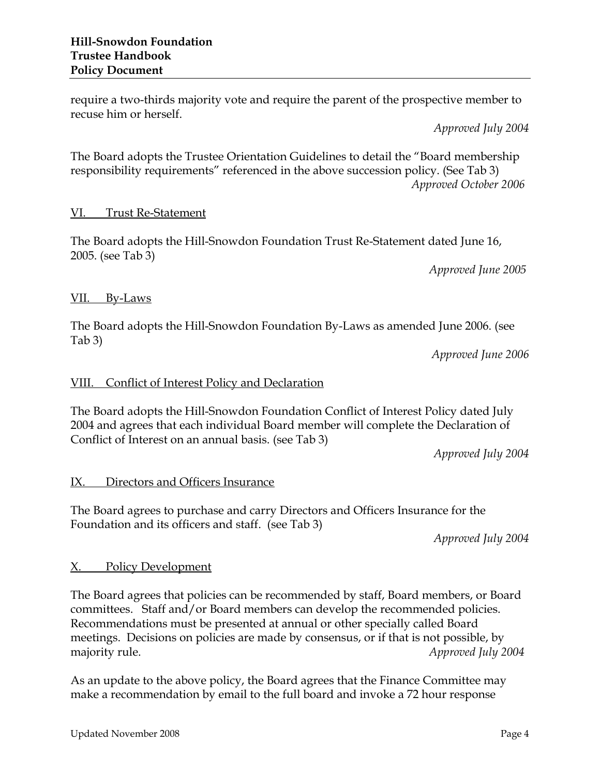require a two-thirds majority vote and require the parent of the prospective member to recuse him or herself.

*Approved July 2004*

The Board adopts the Trustee Orientation Guidelines to detail the "Board membership responsibility requirements" referenced in the above succession policy. (See Tab 3) *Approved October 2006*

## VI. Trust Re-Statement

The Board adopts the Hill-Snowdon Foundation Trust Re-Statement dated June 16, 2005. (see Tab 3)

*Approved June 2005*

# VII. By-Laws

The Board adopts the Hill-Snowdon Foundation By-Laws as amended June 2006. (see Tab 3)

*Approved June 2006*

# VIII. Conflict of Interest Policy and Declaration

The Board adopts the Hill-Snowdon Foundation Conflict of Interest Policy dated July 2004 and agrees that each individual Board member will complete the Declaration of Conflict of Interest on an annual basis. (see Tab 3)

*Approved July 2004*

## IX. Directors and Officers Insurance

The Board agrees to purchase and carry Directors and Officers Insurance for the Foundation and its officers and staff. (see Tab 3)

*Approved July 2004*

# X. Policy Development

The Board agrees that policies can be recommended by staff, Board members, or Board committees. Staff and/or Board members can develop the recommended policies. Recommendations must be presented at annual or other specially called Board meetings. Decisions on policies are made by consensus, or if that is not possible, by majority rule. *Approved July 2004*

As an update to the above policy, the Board agrees that the Finance Committee may make a recommendation by email to the full board and invoke a 72 hour response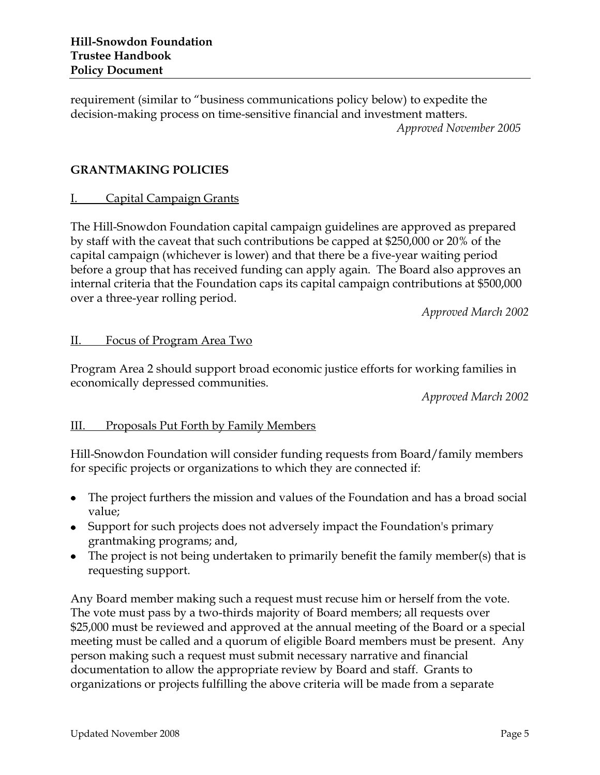requirement (similar to "business communications policy below) to expedite the decision-making process on time-sensitive financial and investment matters. *Approved November 2005*

## **GRANTMAKING POLICIES**

### I. Capital Campaign Grants

The Hill-Snowdon Foundation capital campaign guidelines are approved as prepared by staff with the caveat that such contributions be capped at \$250,000 or 20% of the capital campaign (whichever is lower) and that there be a five-year waiting period before a group that has received funding can apply again. The Board also approves an internal criteria that the Foundation caps its capital campaign contributions at \$500,000 over a three-year rolling period.

*Approved March 2002*

### II. Focus of Program Area Two

Program Area 2 should support broad economic justice efforts for working families in economically depressed communities.

*Approved March 2002*

### III. Proposals Put Forth by Family Members

Hill-Snowdon Foundation will consider funding requests from Board/family members for specific projects or organizations to which they are connected if:

- The project furthers the mission and values of the Foundation and has a broad social value;
- Support for such projects does not adversely impact the Foundation's primary grantmaking programs; and,
- The project is not being undertaken to primarily benefit the family member(s) that is requesting support.

Any Board member making such a request must recuse him or herself from the vote. The vote must pass by a two-thirds majority of Board members; all requests over \$25,000 must be reviewed and approved at the annual meeting of the Board or a special meeting must be called and a quorum of eligible Board members must be present. Any person making such a request must submit necessary narrative and financial documentation to allow the appropriate review by Board and staff. Grants to organizations or projects fulfilling the above criteria will be made from a separate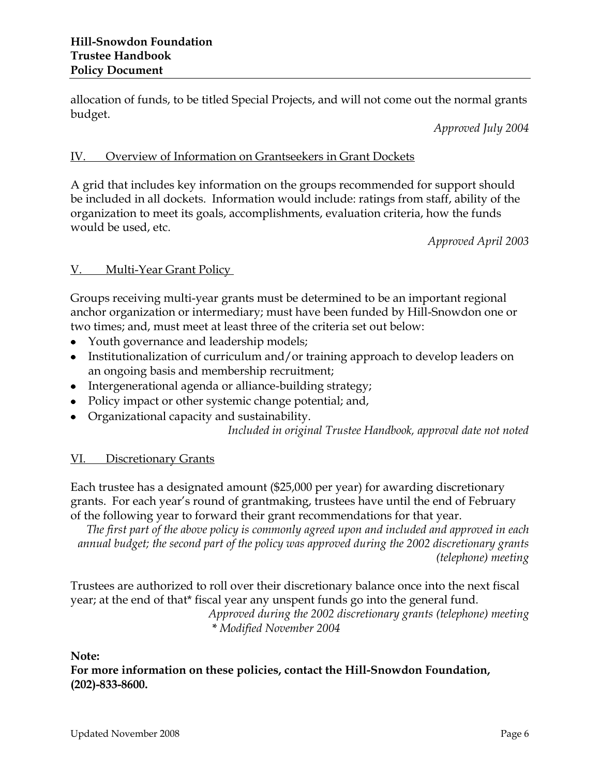allocation of funds, to be titled Special Projects, and will not come out the normal grants budget.

*Approved July 2004*

## IV. Overview of Information on Grantseekers in Grant Dockets

A grid that includes key information on the groups recommended for support should be included in all dockets. Information would include: ratings from staff, ability of the organization to meet its goals, accomplishments, evaluation criteria, how the funds would be used, etc.

*Approved April 2003*

### V. Multi-Year Grant Policy

Groups receiving multi-year grants must be determined to be an important regional anchor organization or intermediary; must have been funded by Hill-Snowdon one or two times; and, must meet at least three of the criteria set out below:

- Youth governance and leadership models;
- Institutionalization of curriculum and/or training approach to develop leaders on an ongoing basis and membership recruitment;
- Intergenerational agenda or alliance-building strategy;
- Policy impact or other systemic change potential; and,
- Organizational capacity and sustainability.

*Included in original Trustee Handbook, approval date not noted*

## VI. Discretionary Grants

Each trustee has a designated amount (\$25,000 per year) for awarding discretionary grants. For each year's round of grantmaking, trustees have until the end of February of the following year to forward their grant recommendations for that year.

*The first part of the above policy is commonly agreed upon and included and approved in each annual budget; the second part of the policy was approved during the 2002 discretionary grants (telephone) meeting*

Trustees are authorized to roll over their discretionary balance once into the next fiscal year; at the end of that\* fiscal year any unspent funds go into the general fund.

*Approved during the 2002 discretionary grants (telephone) meeting \* Modified November 2004*

### **Note:**

**For more information on these policies, contact the Hill-Snowdon Foundation, (202)-833-8600.**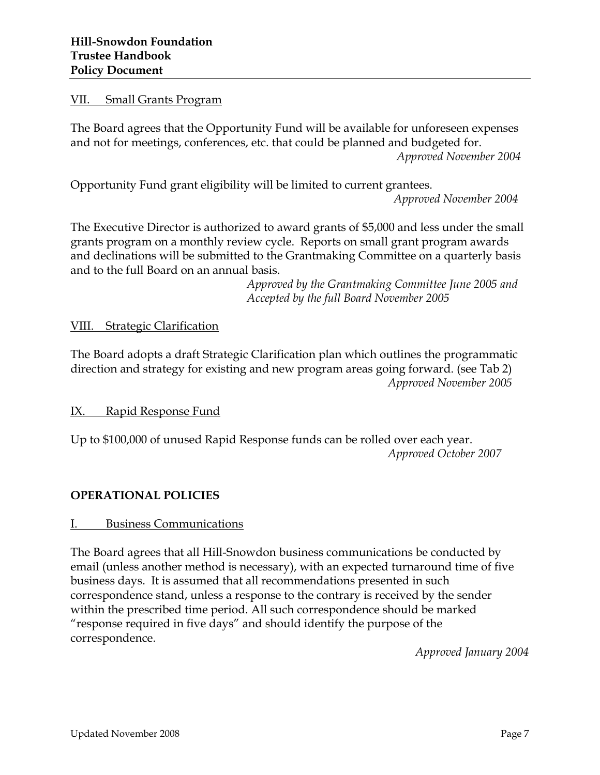#### VII. Small Grants Program

The Board agrees that the Opportunity Fund will be available for unforeseen expenses and not for meetings, conferences, etc. that could be planned and budgeted for. *Approved November 2004*

Opportunity Fund grant eligibility will be limited to current grantees.

*Approved November 2004*

The Executive Director is authorized to award grants of \$5,000 and less under the small grants program on a monthly review cycle. Reports on small grant program awards and declinations will be submitted to the Grantmaking Committee on a quarterly basis and to the full Board on an annual basis.

> *Approved by the Grantmaking Committee June 2005 and Accepted by the full Board November 2005*

VIII. Strategic Clarification

The Board adopts a draft Strategic Clarification plan which outlines the programmatic direction and strategy for existing and new program areas going forward. (see Tab 2) *Approved November 2005*

IX. Rapid Response Fund

Up to \$100,000 of unused Rapid Response funds can be rolled over each year. *Approved October 2007*

### **OPERATIONAL POLICIES**

### I. Business Communications

The Board agrees that all Hill-Snowdon business communications be conducted by email (unless another method is necessary), with an expected turnaround time of five business days. It is assumed that all recommendations presented in such correspondence stand, unless a response to the contrary is received by the sender within the prescribed time period. All such correspondence should be marked "response required in five days" and should identify the purpose of the correspondence.

*Approved January 2004*